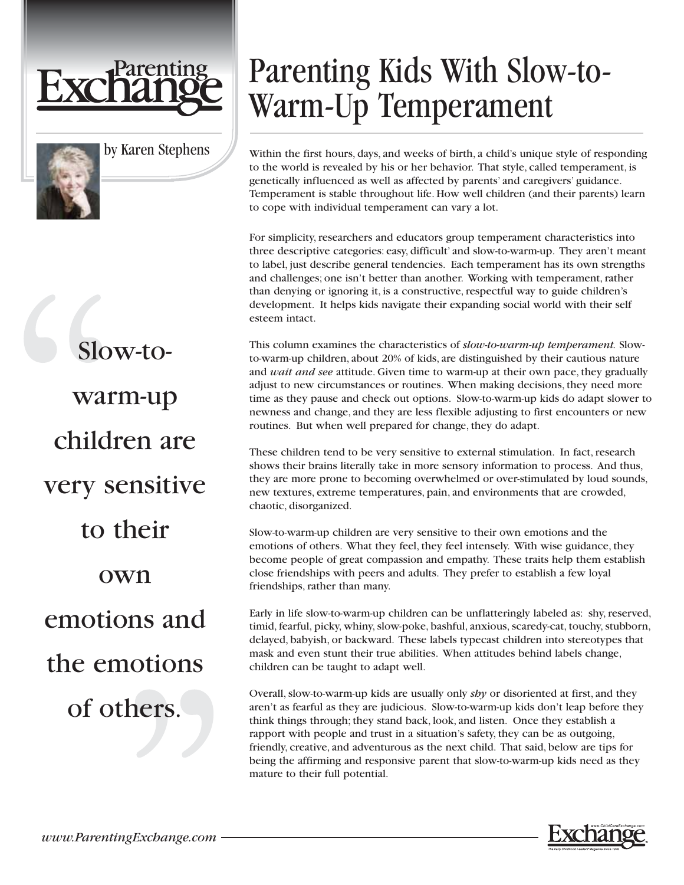



by Karen Stephens

# Parenting Kids With Slow-to-Warm-Up Temperament

Within the first hours, days, and weeks of birth, a child's unique style of responding to the world is revealed by his or her behavior. That style, called temperament, is genetically influenced as well as affected by parents' and caregivers' guidance. Temperament is stable throughout life. How well children (and their parents) learn to cope with individual temperament can vary a lot.

For simplicity, researchers and educators group temperament characteristics into three descriptive categories: easy, difficult' and slow-to-warm-up. They aren't meant to label, just describe general tendencies. Each temperament has its own strengths and challenges; one isn't better than another. Working with temperament, rather than denying or ignoring it, is a constructive, respectful way to guide children's development. It helps kids navigate their expanding social world with their self esteem intact.

This column examines the characteristics of *slow-to-warm-up temperament.* Slowto-warm-up children, about 20% of kids, are distinguished by their cautious nature and *wait and see* attitude. Given time to warm-up at their own pace, they gradually adjust to new circumstances or routines. When making decisions, they need more time as they pause and check out options. Slow-to-warm-up kids do adapt slower to newness and change, and they are less flexible adjusting to first encounters or new routines. But when well prepared for change, they do adapt.

These children tend to be very sensitive to external stimulation. In fact, research shows their brains literally take in more sensory information to process. And thus, they are more prone to becoming overwhelmed or over-stimulated by loud sounds, new textures, extreme temperatures, pain, and environments that are crowded, chaotic, disorganized.

Slow-to-warm-up children are very sensitive to their own emotions and the emotions of others. What they feel, they feel intensely. With wise guidance, they become people of great compassion and empathy. These traits help them establish close friendships with peers and adults. They prefer to establish a few loyal friendships, rather than many.

Early in life slow-to-warm-up children can be unflatteringly labeled as: shy, reserved, timid, fearful, picky, whiny, slow-poke, bashful, anxious, scaredy-cat, touchy, stubborn, delayed, babyish, or backward. These labels typecast children into stereotypes that mask and even stunt their true abilities. When attitudes behind labels change, children can be taught to adapt well.

Overall, slow-to-warm-up kids are usually only *shy* or disoriented at first, and they aren't as fearful as they are judicious. Slow-to-warm-up kids don't leap before they think things through; they stand back, look, and listen. Once they establish a rapport with people and trust in a situation's safety, they can be as outgoing, friendly, creative, and adventurous as the next child. That said, below are tips for being the affirming and responsive parent that slow-to-warm-up kids need as they mature to their full potential.



Slow-towarm-up children are very sensitive to their own emotions and the emotions of others.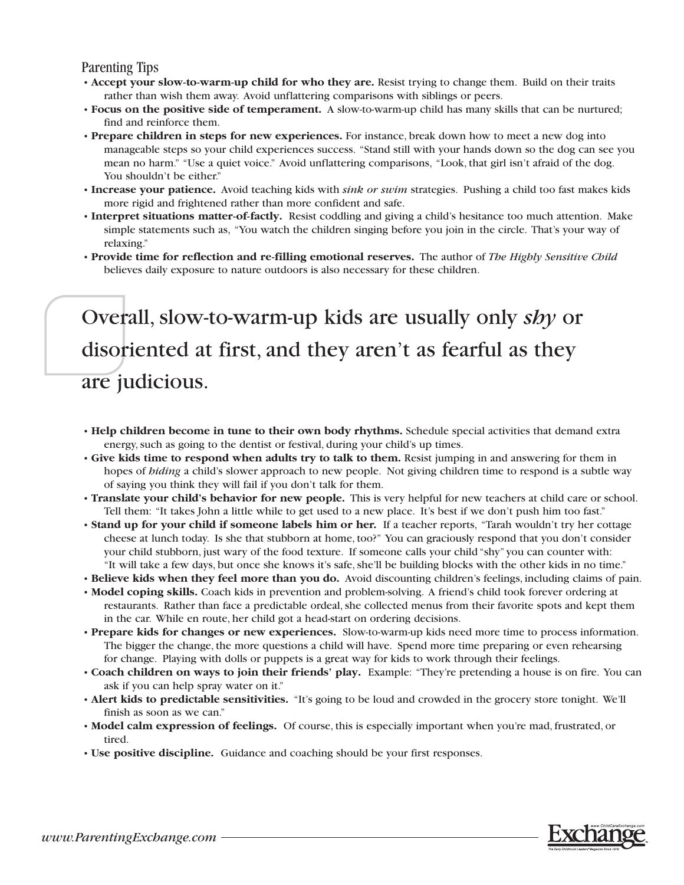#### Parenting Tips

- **Accept your slow-to-warm-up child for who they are.** Resist trying to change them. Build on their traits rather than wish them away. Avoid unflattering comparisons with siblings or peers.
- **Focus on the positive side of temperament.** A slow-to-warm-up child has many skills that can be nurtured; find and reinforce them.
- **Prepare children in steps for new experiences.** For instance, break down how to meet a new dog into manageable steps so your child experiences success. "Stand still with your hands down so the dog can see you mean no harm." "Use a quiet voice." Avoid unflattering comparisons, "Look, that girl isn't afraid of the dog. You shouldn't be either."
- **Increase your patience.** Avoid teaching kids with *sink or swim* strategies. Pushing a child too fast makes kids more rigid and frightened rather than more confident and safe.
- **Interpret situations matter-of-factly.** Resist coddling and giving a child's hesitance too much attention. Make simple statements such as, "You watch the children singing before you join in the circle. That's your way of relaxing."
- **Provide time for reflection and re-filling emotional reserves.** The author of *The Highly Sensitive Child* believes daily exposure to nature outdoors is also necessary for these children.

## Overall, slow-to-warm-up kids are usually only *shy* or disoriented at first, and they aren't as fearful as they are judicious.

- **Help children become in tune to their own body rhythms.** Schedule special activities that demand extra energy, such as going to the dentist or festival, during your child's up times.
- **Give kids time to respond when adults try to talk to them.** Resist jumping in and answering for them in hopes of *hiding* a child's slower approach to new people. Not giving children time to respond is a subtle way of saying you think they will fail if you don't talk for them.
- **Translate your child's behavior for new people.** This is very helpful for new teachers at child care or school. Tell them: "It takes John a little while to get used to a new place. It's best if we don't push him too fast."
- **Stand up for your child if someone labels him or her.** If a teacher reports, "Tarah wouldn't try her cottage cheese at lunch today. Is she that stubborn at home, too?" You can graciously respond that you don't consider your child stubborn, just wary of the food texture. If someone calls your child "shy" you can counter with: "It will take a few days, but once she knows it's safe, she'll be building blocks with the other kids in no time."
- **Believe kids when they feel more than you do.** Avoid discounting children's feelings, including claims of pain.
- **Model coping skills.** Coach kids in prevention and problem-solving. A friend's child took forever ordering at restaurants. Rather than face a predictable ordeal, she collected menus from their favorite spots and kept them in the car. While en route, her child got a head-start on ordering decisions.
- **Prepare kids for changes or new experiences.** Slow-to-warm-up kids need more time to process information. The bigger the change, the more questions a child will have. Spend more time preparing or even rehearsing for change. Playing with dolls or puppets is a great way for kids to work through their feelings.
- **Coach children on ways to join their friends' play.** Example: "They're pretending a house is on fire. You can ask if you can help spray water on it."
- **Alert kids to predictable sensitivities.** "It's going to be loud and crowded in the grocery store tonight. We'll finish as soon as we can."
- **Model calm expression of feelings.** Of course, this is especially important when you're mad, frustrated, or tired.
- **Use positive discipline.** Guidance and coaching should be your first responses.